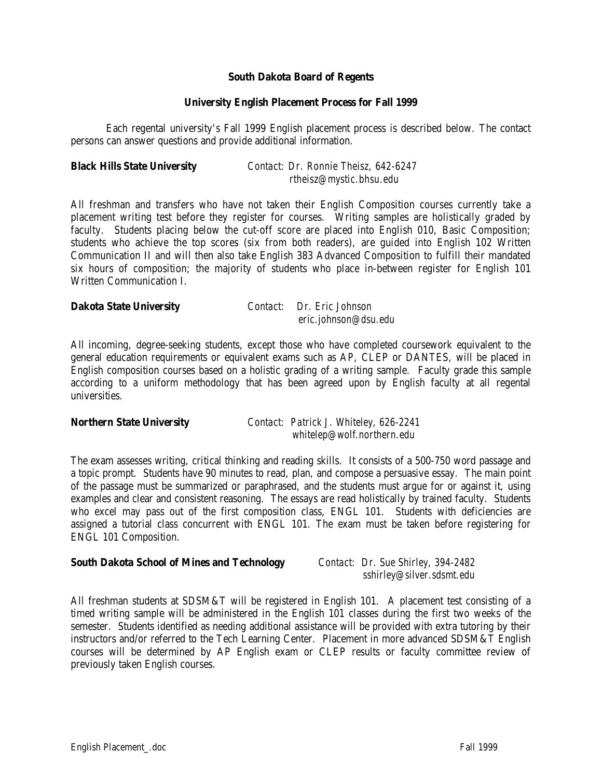## **South Dakota Board of Regents**

## **University English Placement Process for Fall 1999**

Each regental university's Fall 1999 English placement process is described below. The contact persons can answer questions and provide additional information.

| <b>Black Hills State University</b> | Contact: Dr. Ronnie Theisz, 642-6247 |
|-------------------------------------|--------------------------------------|
|                                     | rtheisz@mystic.bhsu.edu              |

All freshman and transfers who have not taken their English Composition courses currently take a placement writing test before they register for courses. Writing samples are holistically graded by faculty. Students placing below the cut-off score are placed into English 010, Basic Composition; students who achieve the top scores (six from both readers), are guided into English 102 Written Communication II and will then also take English 383 Advanced Composition to fulfill their mandated six hours of composition; the majority of students who place in-between register for English 101 Written Communication I.

| <b>Dakota State University</b> | Contact: Dr. Eric Johnson |
|--------------------------------|---------------------------|
|                                | eric.johnson@dsu.edu      |

All incoming, degree-seeking students, except those who have completed coursework equivalent to the general education requirements or equivalent exams such as AP, CLEP or DANTES, will be placed in English composition courses based on a holistic grading of a writing sample. Faculty grade this sample according to a uniform methodology that has been agreed upon by English faculty at all regental universities.

| <b>Northern State University</b> | Contact: Patrick J. Whiteley, 626-2241 |
|----------------------------------|----------------------------------------|
|                                  | whitelep@wolf.northern.edu             |

The exam assesses writing, critical thinking and reading skills. It consists of a 500-750 word passage and a topic prompt. Students have 90 minutes to read, plan, and compose a persuasive essay. The main point of the passage must be summarized or paraphrased, and the students must argue for or against it, using examples and clear and consistent reasoning. The essays are read holistically by trained faculty. Students who excel may pass out of the first composition class, ENGL 101. Students with deficiencies are assigned a tutorial class concurrent with ENGL 101. The exam must be taken before registering for ENGL 101 Composition.

## **South Dakota School of Mines and Technology** *Contact: Dr. Sue Shirley, 394-2482*

 *sshirley@silver.sdsmt.edu*

All freshman students at SDSM&T will be registered in English 101. A placement test consisting of a timed writing sample will be administered in the English 101 classes during the first two weeks of the semester. Students identified as needing additional assistance will be provided with extra tutoring by their instructors and/or referred to the Tech Learning Center. Placement in more advanced SDSM&T English courses will be determined by AP English exam or CLEP results or faculty committee review of previously taken English courses.